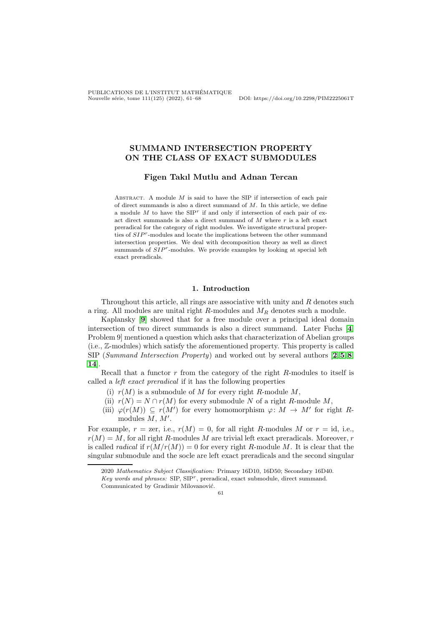## SUMMAND INTERSECTION PROPERTY ON THE CLASS OF EXACT SUBMODULES

# Figen Takıl Mutlu and Adnan Tercan

ABSTRACT. A module  $M$  is said to have the SIP if intersection of each pair of direct summands is also a direct summand of  $M$ . In this article, we define a module  $M$  to have the  $SIP<sup>r</sup>$  if and only if intersection of each pair of exact direct summands is also a direct summand of  $M$  where  $r$  is a left exact preradical for the category of right modules. We investigate structural properties of  $SIP^r$ -modules and locate the implications between the other summand intersection properties. We deal with decomposition theory as well as direct summands of  $SIP<sup>r</sup>$ -modules. We provide examples by looking at special left exact preradicals.

#### 1. Introduction

Throughout this article, all rings are associative with unity and  $R$  denotes such a ring. All modules are unital right  $R$ -modules and  $M_R$  denotes such a module.

Kaplansky [[9](#page-6-0)] showed that for a free module over a principal ideal domain intersection of two direct summands is also a direct summand. Later Fuchs [[4](#page-6-1), Problem 9] mentioned a question which asks that characterization of Abelian groups (i.e., Z-modules) which satisfy the aforementioned property. This property is called SIP (Summand Intersection Property) and worked out by several authors  $[2, 5, 8]$  $[2, 5, 8]$  $[2, 5, 8]$  $[2, 5, 8]$  $[2, 5, 8]$  $[2, 5, 8]$  $[2, 5, 8]$ , [14](#page-6-5)].

Recall that a functor r from the category of the right R-modules to itself is called a left exact preradical if it has the following properties

- (i)  $r(M)$  is a submodule of M for every right R-module M,
- (ii)  $r(N) = N \cap r(M)$  for every submodule N of a right R-module M,
- (iii)  $\varphi(r(M)) \subseteq r(M')$  for every homomorphism  $\varphi: M \to M'$  for right Rmodules  $M, M'$ .

For example,  $r = \text{zer}$ , i.e.,  $r(M) = 0$ , for all right R-modules M or  $r = \text{id}$ , i.e.,  $r(M) = M$ , for all right R-modules M are trivial left exact preradicals. Moreover, r is called *radical* if  $r(M/r(M)) = 0$  for every right R-module M. It is clear that the singular submodule and the socle are left exact preradicals and the second singular

61

<sup>2020</sup> *Mathematics Subject Classification:* Primary 16D10, 16D50; Secondary 16D40. *Key words and phrases:* SIP, SIP<sup>r</sup> , preradical, exact submodule, direct summand. Communicated by Gradimir Milovanović.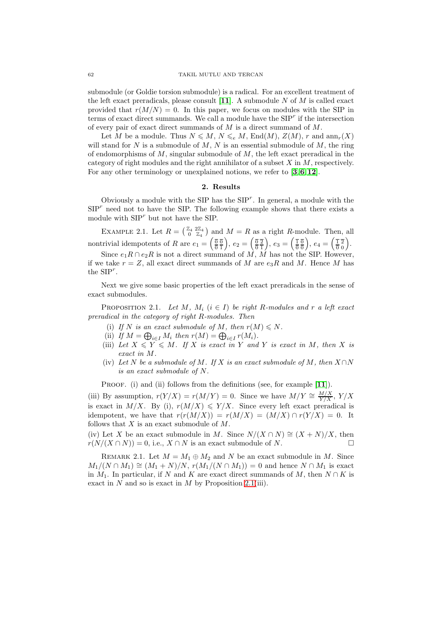submodule (or Goldie torsion submodule) is a radical. For an excellent treatment of the left exact preradicals, please consult  $[11]$  $[11]$  $[11]$ . A submodule N of M is called exact provided that  $r(M/N) = 0$ . In this paper, we focus on modules with the SIP in terms of exact direct summands. We call a module have the  $SIP<sup>r</sup>$  if the intersection of every pair of exact direct summands of M is a direct summand of M.

Let M be a module. Thus  $N \leq M$ ,  $N \leq e M$ , End $(M)$ ,  $Z(M)$ , r and  $ann_r(X)$ will stand for  $N$  is a submodule of  $M$ ,  $N$  is an essential submodule of  $M$ , the ring of endomorphisms of  $M$ , singular submodule of  $M$ , the left exact preradical in the category of right modules and the right annihilator of a subset  $X$  in  $M$ , respectively. For any other terminology or unexplained notions, we refer to [[3](#page-6-7),[6](#page-6-8),[12](#page-6-9)].

### 2. Results

Obviously a module with the SIP has the  $SIP<sup>r</sup>$ . In general, a module with the  $SIP<sup>r</sup>$  need not to have the SIP. The following example shows that there exists a module with  $SIP<sup>r</sup>$  but not have the SIP.

<span id="page-1-1"></span>EXAMPLE 2.1. Let  $R = \begin{pmatrix} \mathbb{Z}_4 & 2\mathbb{Z}_4 \\ 0 & \mathbb{Z}_4 \end{pmatrix}$  and  $M = R$  as a right R-module. Then, all  $\overline{0}$   $\mathbb{Z}_4$ nontrivial idempotents of R are  $e_1 = \left(\frac{\overline{0}}{0}\frac{\overline{0}}{1}\right), e_2 = \left(\frac{\overline{0}}{0}\frac{\overline{2}}{1}\right), e_3 = \left(\frac{\overline{1}}{0}\frac{\overline{0}}{0}\right), e_4 = \left(\frac{\overline{1}}{0}\frac{\overline{2}}{0}\right).$ 

Since  $e_1R \cap e_2R$  is not a direct summand of M, M has not the SIP. However, if we take  $r = Z$ , all exact direct summands of M are  $e_3R$  and M. Hence M has the  $SIP<sup>r</sup>$ .

Next we give some basic properties of the left exact preradicals in the sense of exact submodules.

<span id="page-1-0"></span>PROPOSITION 2.1. Let M,  $M_i$   $(i \in I)$  be right R-modules and r a left exact preradical in the category of right R-modules. Then

- (i) If N is an exact submodule of M, then  $r(M) \leq N$ .
- (ii) If  $M = \bigoplus_{i \in I} M_i$  then  $r(M) = \bigoplus_{i \in I} r(M_i)$ .
- (iii) Let  $X \leqslant Y \leqslant M$ . If X is exact in Y and Y is exact in M, then X is exact in M.
- (iv) Let N be a submodule of M. If X is an exact submodule of M, then  $X \cap N$ is an exact submodule of N.

PROOF. (i) and (ii) follows from the definitions (see, for example [[11](#page-6-6)]).

(iii) By assumption,  $r(Y/X) = r(M/Y) = 0$ . Since we have  $M/Y \cong \frac{M/X}{Y/X}$ ,  $Y/X$ is exact in  $M/X$ . By (i),  $r(M/X) \leq Y/X$ . Since every left exact preradical is idempotent, we have that  $r(r(M/X)) = r(M/X) = (M/X) \cap r(Y/X) = 0$ . It follows that  $X$  is an exact submodule of  $M$ .

(iv) Let X be an exact submodule in M. Since  $N/(X \cap N) \cong (X + N)/X$ , then  $r(N/(X \cap N)) = 0$ , i.e.,  $X \cap N$  is an exact submodule of N.

REMARK 2.1. Let  $M = M_1 \oplus M_2$  and N be an exact submodule in M. Since  $M_1/(N \cap M_1) \cong (M_1 + N)/N$ ,  $r(M_1/(N \cap M_1)) = 0$  and hence  $N \cap M_1$  is exact in  $M_1$ . In particular, if N and K are exact direct summands of M, then  $N \cap K$  is exact in  $N$  and so is exact in  $M$  by Proposition [2.1\(](#page-1-0)iii).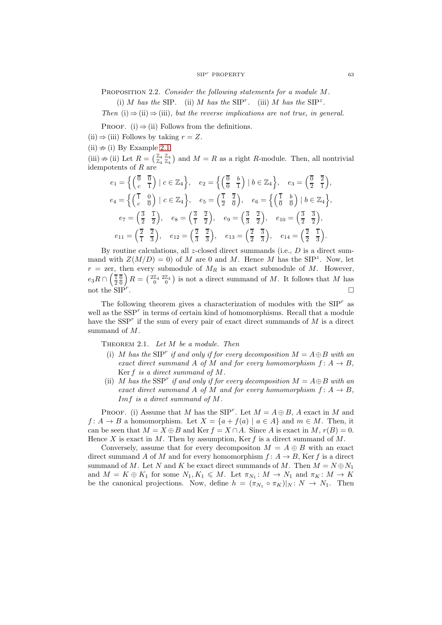PROPOSITION 2.2. Consider the following statements for a module M.

(i) M has the SIP. (ii) M has the SIP<sup>r</sup>. (iii) M has the SIP<sup>z</sup>.

Then (i)  $\Rightarrow$  (ii)  $\Rightarrow$  (iii), but the reverse implications are not true, in general.

PROOF. (i)  $\Rightarrow$  (ii) Follows from the definitions.

(ii)  $\Rightarrow$  (iii) Follows by taking  $r = Z$ .

 $(ii) \nRightarrow (i)$  By Example [2.1.](#page-1-1)

(iii)  $\#$  (ii) Let  $R = \begin{pmatrix} \mathbb{Z}_4 & \mathbb{Z}_4 \\ \mathbb{Z}_4 & \mathbb{Z}_4 \end{pmatrix}$  and  $M = R$  as a right R-module. Then, all nontrivial idempotents of  $R$  are

$$
e_1 = \left\{ \begin{pmatrix} \overline{0} & \overline{0} \\ c & \overline{1} \end{pmatrix} \middle| c \in \mathbb{Z}_4 \right\}, \quad e_2 = \left\{ \begin{pmatrix} \overline{0} & b \\ \overline{0} & \overline{1} \end{pmatrix} \middle| b \in \mathbb{Z}_4 \right\}, \quad e_3 = \begin{pmatrix} \overline{0} & \overline{2} \\ \overline{2} & \overline{1} \end{pmatrix},
$$
  
\n
$$
e_4 = \left\{ \begin{pmatrix} \overline{1} & 0 \\ c & \overline{0} \end{pmatrix} \middle| c \in \mathbb{Z}_4 \right\}, \quad e_5 = \begin{pmatrix} \overline{1} & \overline{2} \\ \overline{2} & \overline{0} \end{pmatrix}, \quad e_6 = \left\{ \begin{pmatrix} \overline{1} & b \\ \overline{0} & \overline{0} \end{pmatrix} \middle| b \in \mathbb{Z}_4 \right\},
$$
  
\n
$$
e_7 = \begin{pmatrix} \overline{3} & \overline{1} \\ \overline{2} & \overline{2} \end{pmatrix}, \quad e_8 = \begin{pmatrix} \overline{3} & \overline{2} \\ \overline{1} & \overline{2} \end{pmatrix}, \quad e_9 = \begin{pmatrix} \overline{3} & \overline{2} \\ \overline{3} & \overline{2} \end{pmatrix}, \quad e_{10} = \begin{pmatrix} \overline{3} & \overline{3} \\ \overline{2} & \overline{2} \end{pmatrix},
$$
  
\n
$$
e_{11} = \begin{pmatrix} \overline{2} & \overline{2} \\ \overline{1} & \overline{3} \end{pmatrix}, \quad e_{12} = \begin{pmatrix} \overline{2} & \overline{2} \\ \overline{3} & \overline{3} \end{pmatrix}, \quad e_{13} = \begin{pmatrix} \overline{2} & \overline{3} \\ \overline{2} & \overline{3} \end{pmatrix}, \quad e_{14} = \begin{pmatrix} \overline{2} & \overline{1} \\ \overline{2} & \overline{3} \end{pmatrix}.
$$

By routine calculations, all  $z$ -closed direct summands (i.e.,  $D$  is a direct summand with  $Z(M/D) = 0$  of M are 0 and M. Hence M has the SIP<sup>z</sup>. Now, let  $r =$  zer, then every submodule of  $M_R$  is an exact submodule of M. However,  $e_3R \cap \left(\frac{\overline{16}}{20}\right)R = \left(\frac{2\mathbb{Z}_4}{0}\right)^2$  is not a direct summand of M. It follows that M has not the  $\text{SIP}^r$ . .

The following theorem gives a characterization of modules with the  $SIP<sup>r</sup>$  as well as the  $SSP<sup>r</sup>$  in terms of certain kind of homomorphisms. Recall that a module have the  $SSP<sup>r</sup>$  if the sum of every pair of exact direct summands of M is a direct summand of M.

<span id="page-2-0"></span>THEOREM 2.1. Let  $M$  be a module. Then

- (i) M has the SIP<sup>r</sup> if and only if for every decomposition  $M = A \oplus B$  with an exact direct summand A of M and for every homomorphism  $f: A \rightarrow B$ , Ker f is a direct summand of M.
- (ii) M has the SSP<sup>r</sup> if and only if for every decomposition  $M = A \oplus B$  with an exact direct summand A of M and for every homomorphism  $f: A \rightarrow B$ , Imf is a direct summand of M.

PROOF. (i) Assume that M has the SIP<sup>r</sup>. Let  $M = A \oplus B$ , A exact in M and  $f: A \to B$  a homomorphism. Let  $X = \{a + f(a) \mid a \in A\}$  and  $m \in M$ . Then, it can be seen that  $M = X \oplus B$  and Ker  $f = X \cap A$ . Since A is exact in M,  $r(B) = 0$ . Hence X is exact in M. Then by assumption, Ker f is a direct summand of  $M$ .

Conversely, assume that for every decompositon  $M = A \oplus B$  with an exact direct summand A of M and for every homomorphism  $f: A \rightarrow B$ , Ker f is a direct summand of M. Let N and K be exact direct summands of M. Then  $M = N \oplus N_1$ and  $M = K \oplus K_1$  for some  $N_1, K_1 \leqslant M$ . Let  $\pi_{N_1}: M \to N_1$  and  $\pi_K: M \to K$ be the canonical projections. Now, define  $h = (\pi_{N_1} \circ \pi_K)|_N : N \to N_1$ . Then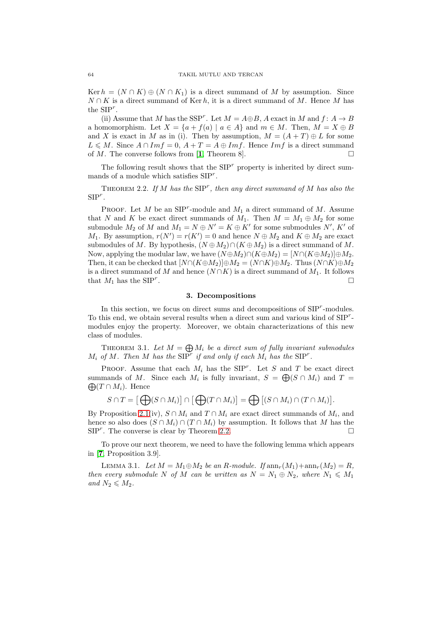Ker  $h = (N \cap K) \oplus (N \cap K_1)$  is a direct summand of M by assumption. Since  $N \cap K$  is a direct summand of Ker h, it is a direct summand of M. Hence M has the  $SIP<sup>r</sup>$ .

(ii) Assume that M has the SSP<sup>r</sup>. Let  $M = A \oplus B$ , A exact in M and  $f: A \rightarrow B$ a homomorphism. Let  $X = \{a + f(a) | a \in A\}$  and  $m \in M$ . Then,  $M = X \oplus B$ and X is exact in M as in (i). Then by assumption,  $M = (A + T) \oplus L$  for some  $L \leq M$ . Since  $A \cap Im f = 0$ ,  $A + T = A \oplus Im f$ . Hence  $Im f$  is a direct summand of  $M$ . The converse follows from [[1](#page-6-10), Theorem 8].

The following result shows that the  $SIP<sup>r</sup>$  property is inherited by direct summands of a module which satisfies  $SIP<sup>r</sup>$ .

<span id="page-3-0"></span>THEOREM 2.2. If M has the  $SIP^r$ , then any direct summand of M has also the  $SIP^r$ .

PROOF. Let M be an  $\text{SIP}^r$ -module and  $M_1$  a direct summand of M. Assume that N and K be exact direct summands of  $M_1$ . Then  $M = M_1 \oplus M_2$  for some submodule  $M_2$  of M and  $M_1 = N \oplus N' = K \oplus K'$  for some submodules  $N'$ ,  $K'$  of  $M_1$ . By assumption,  $r(N') = r(K') = 0$  and hence  $N \oplus M_2$  and  $K \oplus M_2$  are exact submodules of M. By hypothesis,  $(N \oplus M_2) \cap (K \oplus M_2)$  is a direct summand of M. Now, applying the modular law, we have  $(N \oplus M_2) \cap (K \oplus M_2) = [N \cap (K \oplus M_2)] \oplus M_2$ . Then, it can be checked that  $[N \cap (K \oplus M_2)] \oplus M_2 = (N \cap K) \oplus M_2$ . Thus  $(N \cap K) \oplus M_2$ is a direct summand of M and hence  $(N \cap K)$  is a direct summand of  $M_1$ . It follows that  $M_1$  has the  $SIP^r$ . .

### 3. Decompositions

In this section, we focus on direct sums and decompositions of  $SIP^r$ -modules. To this end, we obtain several results when a direct sum and various kind of  $SIP^r$ modules enjoy the property. Moreover, we obtain characterizations of this new class of modules.

THEOREM 3.1. Let  $M = \bigoplus M_i$  be a direct sum of fully invariant submodules  $M_i$  of M. Then M has the  $SIP^r$  if and only if each  $M_i$  has the  $SIP^r$ .

PROOF. Assume that each  $M_i$  has the SIP<sup>r</sup>. Let S and T be exact direct summands of M. Since each  $M_i$  is fully invariant,  $S = \bigoplus (S \cap M_i)$  and  $T =$  $\bigoplus (T \cap M_i)$ . Hence

$$
S \cap T = [\bigoplus (S \cap M_i)] \cap [\bigoplus (T \cap M_i)] = \bigoplus [(S \cap M_i) \cap (T \cap M_i)].
$$

By Proposition [2.1\(](#page-1-0)iv),  $S \cap M_i$  and  $T \cap M_i$  are exact direct summands of  $M_i$ , and hence so also does  $(S \cap M_i) \cap (T \cap M_i)$  by assumption. It follows that M has the  $SIP<sup>r</sup>$ . The converse is clear by Theorem [2.2.](#page-3-0)

To prove our next theorem, we need to have the following lemma which appears in [[7](#page-6-11), Proposition 3.9].

<span id="page-3-1"></span>LEMMA 3.1. Let  $M = M_1 \oplus M_2$  be an R-module. If  $\text{ann}_r(M_1)+\text{ann}_r(M_2) = R$ , then every submodule N of M can be written as  $N = N_1 \oplus N_2$ , where  $N_1 \leq N_1$ and  $N_2 \leqslant M_2$ .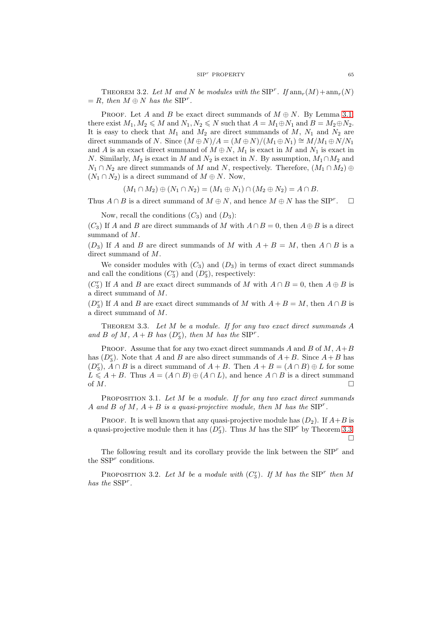THEOREM 3.2. Let M and N be modules with the  $SIP^r$ . If  $ann_r(M) + ann_r(N)$  $= R$ , then  $M \oplus N$  has the SIP<sup>r</sup>.

PROOF. Let A and B be exact direct summands of  $M \oplus N$ . By Lemma [3.1,](#page-3-1) there exist  $M_1, M_2 \leqslant M$  and  $N_1, N_2 \leqslant N$  such that  $A = M_1 \oplus N_1$  and  $B = M_2 \oplus N_2$ . It is easy to check that  $M_1$  and  $M_2$  are direct summands of  $M$ ,  $N_1$  and  $N_2$  are direct summands of N. Since  $(M \oplus N)/A = (M \oplus N)/(M_1 \oplus N_1) \cong M/M_1 \oplus N/N_1$ and A is an exact direct summand of  $M \oplus N$ ,  $M_1$  is exact in M and  $N_1$  is exact in N. Similarly,  $M_2$  is exact in M and  $N_2$  is exact in N. By assumption,  $M_1 \cap M_2$  and  $N_1 \cap N_2$  are direct summands of M and N, respectively. Therefore,  $(M_1 \cap M_2) \oplus$  $(N_1 \cap N_2)$  is a direct summand of  $M \oplus N$ . Now,

$$
(M_1 \cap M_2) \oplus (N_1 \cap N_2) = (M_1 \oplus N_1) \cap (M_2 \oplus N_2) = A \cap B.
$$

Thus  $A \cap B$  is a direct summand of  $M \oplus N$ , and hence  $M \oplus N$  has the SIP<sup>r</sup>.  $\Box$ 

Now, recall the conditions  $(C_3)$  and  $(D_3)$ :

 $(C_3)$  If A and B are direct summands of M with  $A \cap B = 0$ , then  $A \oplus B$  is a direct summand of M.

 $(D_3)$  If A and B are direct summands of M with  $A + B = M$ , then  $A \cap B$  is a direct summand of M.

We consider modules with  $(C_3)$  and  $(D_3)$  in terms of exact direct summands and call the conditions  $(C_3^r)$  and  $(D_3^r)$ , respectively:

 $(C_3^r)$  If A and B are exact direct summands of M with  $A \cap B = 0$ , then  $A \oplus B$  is a direct summand of M.

 $(D_3^r)$  If A and B are exact direct summands of M with  $A + B = M$ , then  $A \cap B$  is a direct summand of M.

<span id="page-4-0"></span>THEOREM 3.3. Let  $M$  be a module. If for any two exact direct summands  $A$ and B of M,  $A + B$  has  $(D_3^r)$ , then M has the SIP<sup>r</sup>.

**PROOF.** Assume that for any two exact direct summands A and B of  $M$ ,  $A+B$ has  $(D_3^r)$ . Note that A and B are also direct summands of  $A + B$ . Since  $A + B$  has  $(D_3^r)$ ,  $A \cap B$  is a direct summand of  $A + B$ . Then  $A + B = (A \cap B) \oplus L$  for some  $L \leq A + B$ . Thus  $A = (A \cap B) \oplus (A \cap L)$ , and hence  $A \cap B$  is a direct summand of  $M$ .

PROPOSITION 3.1. Let M be a module. If for any two exact direct summands A and B of M,  $A + B$  is a quasi-projective module, then M has the  $SIP<sup>r</sup>$ .

PROOF. It is well known that any quasi-projective module has  $(D_2)$ . If  $A+B$  is a quasi-projective module then it has  $(D_3^r)$ . Thus M has the SIP<sup>r</sup> by Theorem [3.3.](#page-4-0) П

The following result and its corollary provide the link between the  $SIP<sup>r</sup>$  and the  $SSP<sup>r</sup>$  conditions.

<span id="page-4-1"></span>PROPOSITION 3.2. Let M be a module with  $(C_3^r)$ . If M has the SIP<sup>r</sup> then M has the  $SSP<sup>r</sup>$ .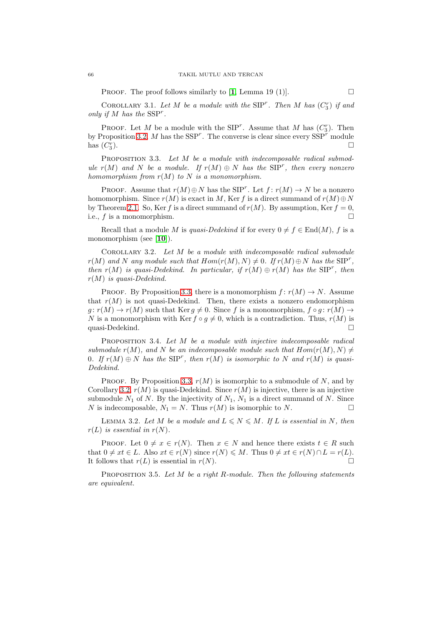PROOF. The proof follows similarly to [[1](#page-6-10), Lemma 19 (1)].  $\Box$ 

COROLLARY 3.1. Let M be a module with the SIP<sup>r</sup>. Then M has  $(C_3^r)$  if and only if  $M$  has the  $SSP<sup>r</sup>$ .

PROOF. Let M be a module with the SIP<sup>r</sup>. Assume that M has  $(C_3^r)$ . Then by Proposition [3.2,](#page-4-1) M has the  $SSP^r$ . The converse is clear since every  $SSP^r$  module has  $(C_3^r)$ ).  $\Box$ 

<span id="page-5-0"></span>PROPOSITION 3.3. Let M be a module with indecomposable radical submodule  $r(M)$  and N be a module. If  $r(M) \oplus N$  has the SIP<sup>r</sup>, then every nonzero homomorphism from  $r(M)$  to N is a monomorphism.

PROOF. Assume that  $r(M) \oplus N$  has the SIP<sup>r</sup>. Let  $f: r(M) \to N$  be a nonzero homomorphism. Since  $r(M)$  is exact in M, Ker f is a direct summand of  $r(M) \oplus N$ by Theorem [2.1.](#page-2-0) So, Ker f is a direct summand of  $r(M)$ . By assumption, Ker  $f = 0$ , i.e.,  $f$  is a monomorphism.

Recall that a module M is quasi-Dedekind if for every  $0 \neq f \in End(M)$ , f is a monomorphism (see [[10](#page-6-12)]).

<span id="page-5-1"></span>COROLLARY 3.2. Let  $M$  be a module with indecomposable radical submodule  $r(M)$  and N any module such that  $Hom(r(M), N) \neq 0$ . If  $r(M) \oplus N$  has the SIP<sup>r</sup>, then  $r(M)$  is quasi-Dedekind. In particular, if  $r(M) \oplus r(M)$  has the SIP<sup>r</sup>, then  $r(M)$  is quasi-Dedekind.

PROOF. By Proposition [3.3,](#page-5-0) there is a monomorphism  $f: r(M) \to N$ . Assume that  $r(M)$  is not quasi-Dedekind. Then, there exists a nonzero endomorphism  $g: r(M) \to r(M)$  such that Ker  $g \neq 0$ . Since f is a monomorphism,  $f \circ g: r(M) \to r(M)$ N is a monomorphism with Ker  $f \circ g \neq 0$ , which is a contradiction. Thus,  $r(M)$  is quasi-Dedekind.

PROPOSITION 3.4. Let M be a module with injective indecomposable radical submodule  $r(M)$ , and N be an indecomposable module such that  $Hom(r(M), N) \neq$ 0. If  $r(M) \oplus N$  has the SIP<sup>r</sup>, then  $r(M)$  is isomorphic to N and  $r(M)$  is quasi-Dedekind.

PROOF. By Proposition [3.3,](#page-5-0)  $r(M)$  is isomorphic to a submodule of N, and by Corollary [3.2,](#page-5-1)  $r(M)$  is quasi-Dedekind. Since  $r(M)$  is injective, there is an injective submodule  $N_1$  of N. By the injectivity of  $N_1$ ,  $N_1$  is a direct summand of N. Since N is indecomposable,  $N_1 = N$ . Thus  $r(M)$  is isomorphic to N.

<span id="page-5-2"></span>LEMMA 3.2. Let M be a module and  $L \leq N \leq M$ . If L is essential in N, then  $r(L)$  is essential in  $r(N)$ .

PROOF. Let  $0 \neq x \in r(N)$ . Then  $x \in N$  and hence there exists  $t \in R$  such that  $0 \neq xt \in L$ . Also  $xt \in r(N)$  since  $r(N) \leq M$ . Thus  $0 \neq xt \in r(N) \cap L = r(L)$ . It follows that  $r(L)$  is essential in  $r(N)$ .

PROPOSITION 3.5. Let  $M$  be a right R-module. Then the following statements are equivalent.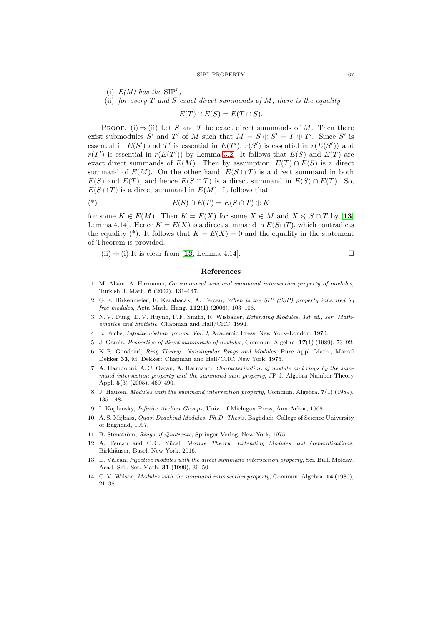#### $SIP<sup>r</sup>$  PROPERTY 67

(i)  $E(M)$  has the  $SIP^r$ ,

(ii) for every  $T$  and  $S$  exact direct summands of  $M$ , there is the equality

 $E(T) \cap E(S) = E(T \cap S).$ 

PROOF. (i)  $\Rightarrow$  (ii) Let S and T be exact direct summands of M. Then there exist submodules S' and T' of M such that  $M = S \oplus S' = T \oplus T'$ . Since S' is essential in  $E(S')$  and T' is essential in  $E(T')$ ,  $r(S')$  is essential in  $r(E(S'))$  and  $r(T')$  is essential in  $r(E(T'))$  by Lemma [3.2.](#page-5-2) It follows that  $E(S)$  and  $E(T)$  are exact direct summands of  $E(M)$ . Then by assumption,  $E(T) \cap E(S)$  is a direct summand of  $E(M)$ . On the other hand,  $E(S \cap T)$  is a direct summand in both  $E(S)$  and  $E(T)$ , and hence  $E(S \cap T)$  is a direct summand in  $E(S) \cap E(T)$ . So,  $E(S \cap T)$  is a direct summand in  $E(M)$ . It follows that

$$
E(S) \cap E(T) = E(S \cap T) \oplus K
$$

for some  $K \in E(M)$ . Then  $K = E(X)$  for some  $X \in M$  and  $X \leq S \cap T$  by [[13](#page-6-13), Lemma 4.14]. Hence  $K = E(X)$  is a direct summand in  $E(S \cap T)$ , which contradicts the equality (\*). It follows that  $K = E(X) = 0$  and the equality in the statement of Theorem is provided.

 $(ii) \Rightarrow (i)$  It is clear from [[13](#page-6-13), Lemma 4.14].

### References

- <span id="page-6-10"></span>1. M. Alkan, A. Harmancı, *On summand sum and summand intersection property of modules*, Turkish J. Math. 6 (2002), 131–147.
- <span id="page-6-2"></span>2. G. F. Birkenmeier, F. Karabacak, A. Tercan, *When is the SIP (SSP) property inherited by free modules*, Acta Math. Hung. 112(1) (2006), 103–106.
- <span id="page-6-7"></span>3. N. V. Dung, D. V. Huynh, P. F. Smith, R. Wisbauer, *Extending Modules, 1st ed., ser. Mathematics and Statistic*, Chapman and Hall/CRC, 1994.
- <span id="page-6-3"></span><span id="page-6-1"></span>4. L. Fuchs, *Infinite abelian groups. Vol. I*, Academic Press, New York–London, 1970.
- <span id="page-6-8"></span>5. J. Garcia, *Properties of direct summands of modules*, Commun. Algebra. 17(1) (1989), 73–92.
- 6. K. R. Goodearl, *Ring Theory: Nonsingular Rings and Modules*, Pure Appl. Math., Marcel Dekker 33, M. Dekker: Chapman and Hall/CRC, New York, 1976.
- <span id="page-6-11"></span>7. A. Hamdouni, A. C. Ozcan, A. Harmancı, *Characterization of module and rings by the summand intersection property and the summand sum property*, JP J. Algebra Number Theory Appl. 5(3) (2005), 469–490.
- <span id="page-6-4"></span><span id="page-6-0"></span>8. J. Hausen, *Modules with the summand intersection property*, Commun. Algebra. 7(1) (1989), 135–148.
- <span id="page-6-12"></span>9. I. Kaplansky, *Infinite Abelian Groups*, Univ. of Michigan Press, Ann Arbor, 1969.
- 10. A. S. Mijbass, *Quasi Dedekind Modules. Ph.D. Thesis*, Baghdad: College of Science University of Baghdad, 1997.
- <span id="page-6-9"></span><span id="page-6-6"></span>11. B. Stenström, *Rings of Quotients*, Springer-Verlag, New York, 1975.
- 12. A. Tercan and C.C. Yücel, *Module Theory, Extending Modules and Generalizations*, Birkhäuser, Basel, New York, 2016.
- <span id="page-6-13"></span>13. D. V˘alcan, *Injective modules with the direct summand intersection property*, Sci. Bull. Moldav. Acad. Sci., Ser. Math. 31 (1999), 39–50.
- <span id="page-6-5"></span>14. G. V. Wilson, *Modules with the summand intersection property*, Commun. Algebra. 14 (1986), 21–38.